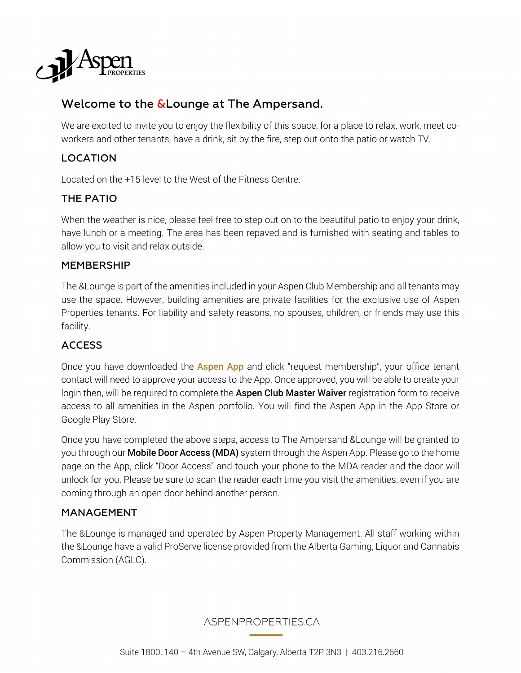

# Welcome to the  $\&$  Lounge at The Ampersand.

We are excited to invite you to enjoy the flexibility of this space, for a place to relax, work, meet coworkers and other tenants, have a drink, sit by the fire, step out onto the patio or watch TV.

# LOCATION

Located on the +15 level to the West of the Fitness Centre.

# THE PATIO

When the weather is nice, please feel free to step out on to the beautiful patio to enjoy your drink, have lunch or a meeting. The area has been repaved and is furnished with seating and tables to allow you to visit and relax outside.

#### MEMBERSHIP

The &Lounge is part of the amenities included in your Aspen Club Membership and all tenants may use the space. However, building amenities are private facilities for the exclusive use of Aspen Properties tenants. For liability and safety reasons, no spouses, children, or friends may use this facility.

### ACCESS

Once you have downloaded the **Aspen App** and click "request membership", your office tenant contact will need to approve your access to the App. Once approved, you will be able to create your login then, will be required to complete the **Aspen Club Master Waiver** registration form to receive access to all amenities in the Aspen portfolio. You will find the Aspen App in the App Store or Google Play Store.

Once you have completed the above steps, access to The Ampersand &Lounge will be granted to you through our **Mobile Door Access (MDA)** system through the Aspen App. Please go to the home page on the App, click "Door Access" and touch your phone to the MDA reader and the door will unlock for you. Please be sure to scan the reader each time you visit the amenities, even if you are coming through an open door behind another person.

#### MANAGEMENT

The &Lounge is managed and operated by Aspen Property Management. All staff working within the &Lounge have a valid ProServe license provided from the Alberta Gaming, Liquor and Cannabis Commission (AGLC).

ASPENPROPERTIES.CA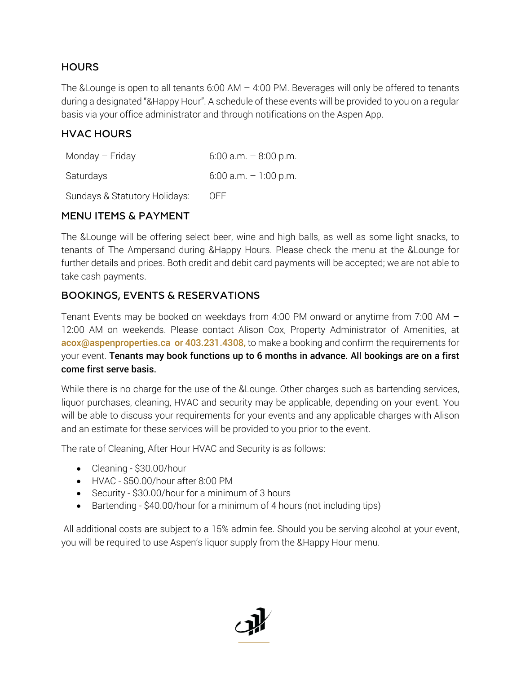### **HOURS**

The &Lounge is open to all tenants  $6:00 \text{ AM} - 4:00 \text{ PM}$ . Beverages will only be offered to tenants during a designated "&Happy Hour". A schedule of these events will be provided to you on a regular basis via your office administrator and through notifications on the Aspen App.

#### HVAC HOURS

| Monday - Friday               | $6:00$ a.m. $-8:00$ p.m. |
|-------------------------------|--------------------------|
| Saturdays                     | $6:00$ a.m. $-1:00$ p.m. |
| Sundays & Statutory Holidays: | OFF.                     |

#### MENU ITEMS & PAYMENT

The &Lounge will be offering select beer, wine and high balls, as well as some light snacks, to tenants of The Ampersand during &Happy Hours. Please check the menu at the &Lounge for further details and prices. Both credit and debit card payments will be accepted; we are not able to take cash payments.

### BOOKINGS, EVENTS & RESERVATIONS

Tenant Events may be booked on weekdays from 4:00 PM onward or anytime from 7:00 AM – 12:00 AM on weekends. Please contact Alison Cox, Property Administrator of Amenities, at acox@aspenproperties.ca or 403.231.4308, to make a booking and confirm the requirements for your event. Tenants may book functions up to 6 months in advance. All bookings are on a first come first serve basis.

While there is no charge for the use of the &Lounge. Other charges such as bartending services, liquor purchases, cleaning, HVAC and security may be applicable, depending on your event. You will be able to discuss your requirements for your events and any applicable charges with Alison and an estimate for these services will be provided to you prior to the event.

The rate of Cleaning, After Hour HVAC and Security is as follows:

- Cleaning \$30.00/hour
- HVAC \$50.00/hour after 8:00 PM
- Security \$30.00/hour for a minimum of 3 hours
- Bartending \$40.00/hour for a minimum of 4 hours (not including tips)

All additional costs are subject to a 15% admin fee. Should you be serving alcohol at your event, you will be required to use Aspen's liquor supply from the &Happy Hour menu.

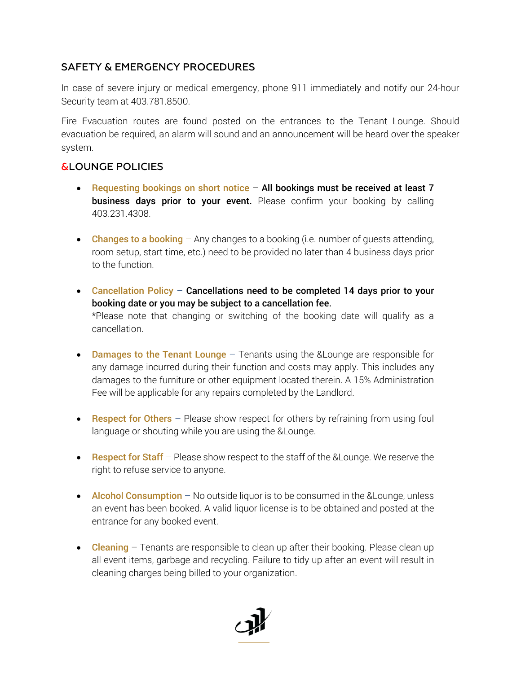# SAFETY & EMERGENCY PROCEDURES

In case of severe injury or medical emergency, phone 911 immediately and notify our 24-hour Security team at 403.781.8500.

Fire Evacuation routes are found posted on the entrances to the Tenant Lounge. Should evacuation be required, an alarm will sound and an announcement will be heard over the speaker system.

### &LOUNGE POLICIES

- Requesting bookings on short notice  $-$  All bookings must be received at least  $7$ business days prior to your event. Please confirm your booking by calling 403.231.4308.
- Changes to a booking  $-$  Any changes to a booking (i.e. number of quests attending, room setup, start time, etc.) need to be provided no later than 4 business days prior to the function.
- Cancellation Policy Cancellations need to be completed 14 days prior to your booking date or you may be subject to a cancellation fee. \*Please note that changing or switching of the booking date will qualify as a cancellation.
- Damages to the Tenant Lounge  $-$  Tenants using the &Lounge are responsible for any damage incurred during their function and costs may apply. This includes any damages to the furniture or other equipment located therein. A 15% Administration Fee will be applicable for any repairs completed by the Landlord.
- Respect for Others  $-$  Please show respect for others by refraining from using foul language or shouting while you are using the &Lounge.
- Respect for Staff Please show respect to the staff of the &Lounge. We reserve the right to refuse service to anyone.
- Alcohol Consumption No outside liquor is to be consumed in the &Lounge, unless an event has been booked. A valid liquor license is to be obtained and posted at the entrance for any booked event.
- **Cleaning** Tenants are responsible to clean up after their booking. Please clean up all event items, garbage and recycling. Failure to tidy up after an event will result in cleaning charges being billed to your organization.